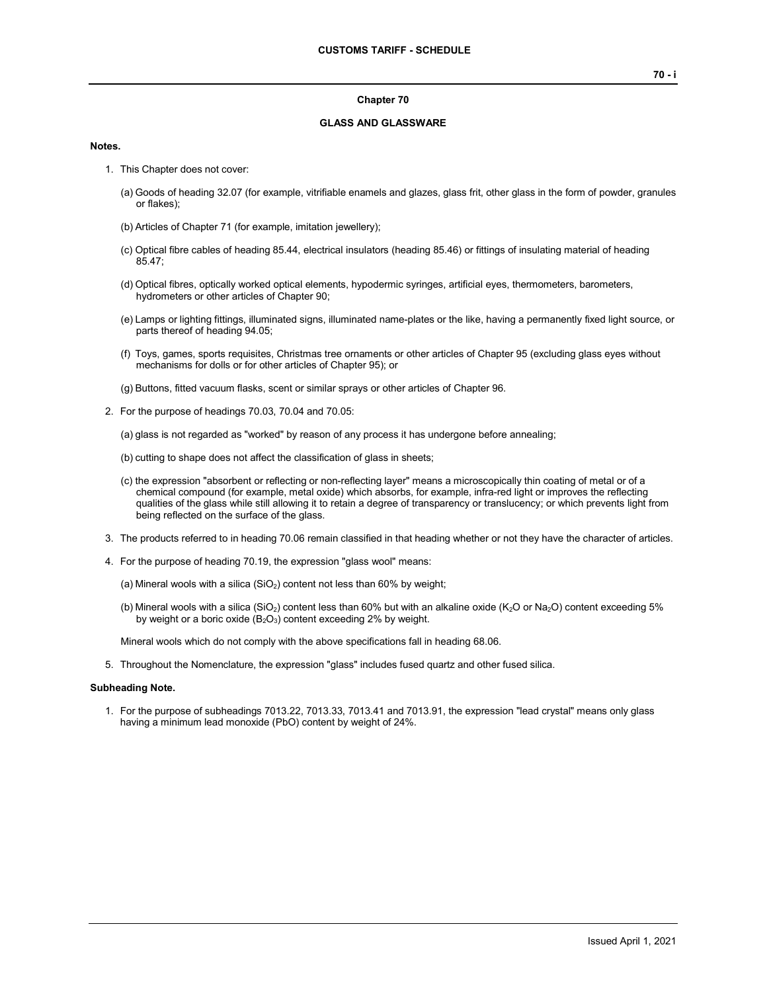#### **Chapter 70**

### **GLASS AND GLASSWARE**

#### **Notes.**

- 1. This Chapter does not cover:
	- (a) Goods of heading 32.07 (for example, vitrifiable enamels and glazes, glass frit, other glass in the form of powder, granules or flakes);
	- (b) Articles of Chapter 71 (for example, imitation jewellery);
	- (c) Optical fibre cables of heading 85.44, electrical insulators (heading 85.46) or fittings of insulating material of heading 85.47;
	- (d) Optical fibres, optically worked optical elements, hypodermic syringes, artificial eyes, thermometers, barometers, hydrometers or other articles of Chapter 90;
	- (e) Lamps or lighting fittings, illuminated signs, illuminated name-plates or the like, having a permanently fixed light source, or parts thereof of heading 94.05;
	- (f) Toys, games, sports requisites, Christmas tree ornaments or other articles of Chapter 95 (excluding glass eyes without mechanisms for dolls or for other articles of Chapter 95); or
	- (g) Buttons, fitted vacuum flasks, scent or similar sprays or other articles of Chapter 96.
- 2. For the purpose of headings 70.03, 70.04 and 70.05:

(a) glass is not regarded as "worked" by reason of any process it has undergone before annealing;

- (b) cutting to shape does not affect the classification of glass in sheets;
- (c) the expression "absorbent or reflecting or non-reflecting layer" means a microscopically thin coating of metal or of a chemical compound (for example, metal oxide) which absorbs, for example, infra-red light or improves the reflecting qualities of the glass while still allowing it to retain a degree of transparency or translucency; or which prevents light from being reflected on the surface of the glass.
- 3. The products referred to in heading 70.06 remain classified in that heading whether or not they have the character of articles.
- 4. For the purpose of heading 70.19, the expression "glass wool" means:
	- (a) Mineral wools with a silica  $(SiO<sub>2</sub>)$  content not less than 60% by weight;
	- (b) Mineral wools with a silica (SiO<sub>2</sub>) content less than 60% but with an alkaline oxide (K<sub>2</sub>O or Na<sub>2</sub>O) content exceeding 5% by weight or a boric oxide  $(B_2O_3)$  content exceeding 2% by weight.

Mineral wools which do not comply with the above specifications fall in heading 68.06.

5. Throughout the Nomenclature, the expression "glass" includes fused quartz and other fused silica.

#### **Subheading Note.**

1. For the purpose of subheadings 7013.22, 7013.33, 7013.41 and 7013.91, the expression "lead crystal" means only glass having a minimum lead monoxide (PbO) content by weight of 24%.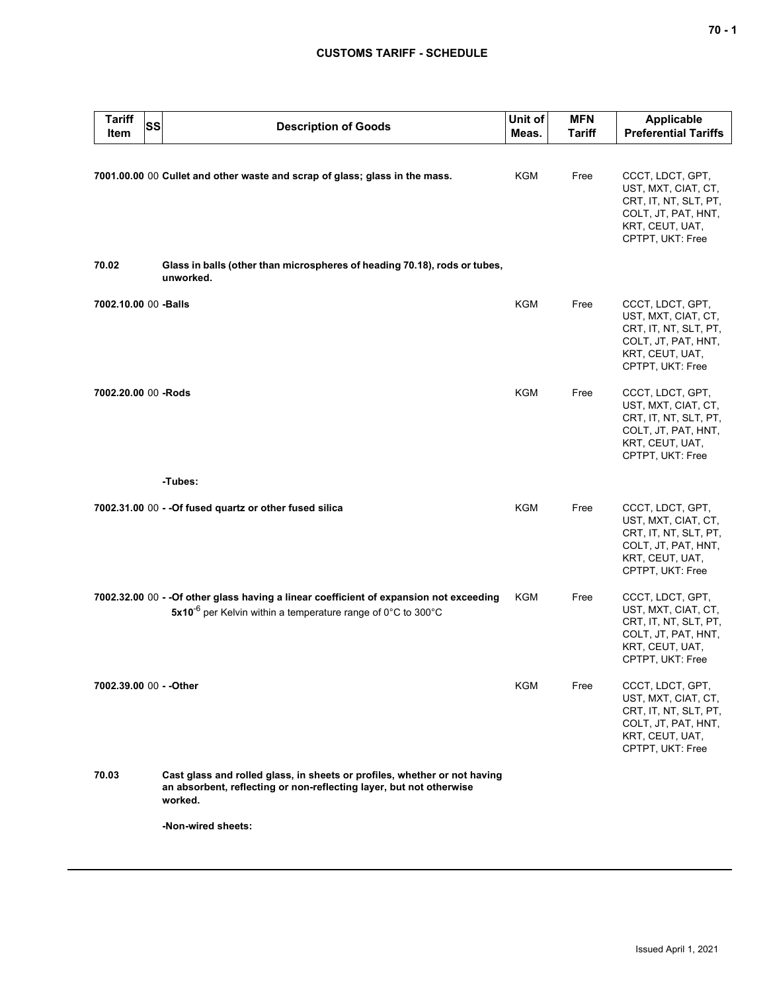# **CUSTOMS TARIFF - SCHEDULE**

| <b>Tariff</b><br>SS<br>Item | <b>Description of Goods</b>                                                                                                                                         | Unit of<br>Meas. | <b>MFN</b><br><b>Tariff</b> | <b>Applicable</b><br><b>Preferential Tariffs</b>                                                                               |
|-----------------------------|---------------------------------------------------------------------------------------------------------------------------------------------------------------------|------------------|-----------------------------|--------------------------------------------------------------------------------------------------------------------------------|
|                             | 7001.00.00 00 Cullet and other waste and scrap of glass; glass in the mass.                                                                                         | KGM              | Free                        | CCCT, LDCT, GPT,<br>UST, MXT, CIAT, CT,<br>CRT, IT, NT, SLT, PT,<br>COLT, JT, PAT, HNT,<br>KRT, CEUT, UAT,<br>CPTPT, UKT: Free |
| 70.02                       | Glass in balls (other than microspheres of heading 70.18), rods or tubes,<br>unworked.                                                                              |                  |                             |                                                                                                                                |
| 7002.10.00 00 -Balls        |                                                                                                                                                                     | <b>KGM</b>       | Free                        | CCCT, LDCT, GPT,<br>UST, MXT, CIAT, CT,<br>CRT, IT, NT, SLT, PT,<br>COLT, JT, PAT, HNT,<br>KRT, CEUT, UAT,<br>CPTPT, UKT: Free |
| 7002.20.00 00 -Rods         |                                                                                                                                                                     | <b>KGM</b>       | Free                        | CCCT, LDCT, GPT,<br>UST, MXT, CIAT, CT,<br>CRT, IT, NT, SLT, PT,<br>COLT, JT, PAT, HNT,<br>KRT, CEUT, UAT,<br>CPTPT, UKT: Free |
|                             | -Tubes:                                                                                                                                                             |                  |                             |                                                                                                                                |
|                             | 7002.31.00 00 - - Of fused quartz or other fused silica                                                                                                             | KGM              | Free                        | CCCT, LDCT, GPT,<br>UST, MXT, CIAT, CT,<br>CRT, IT, NT, SLT, PT,<br>COLT, JT, PAT, HNT,<br>KRT, CEUT, UAT,<br>CPTPT, UKT: Free |
|                             | 7002.32.00 00 - - Of other glass having a linear coefficient of expansion not exceeding<br>5x10 <sup>-6</sup> per Kelvin within a temperature range of 0°C to 300°C | KGM              | Free                        | CCCT, LDCT, GPT,<br>UST, MXT, CIAT, CT,<br>CRT, IT, NT, SLT, PT,<br>COLT, JT, PAT, HNT,<br>KRT, CEUT, UAT,<br>CPTPT, UKT: Free |
| 7002.39.00 00 - - Other     |                                                                                                                                                                     | KGM              | Free                        | CCCT, LDCT, GPT,<br>UST, MXT, CIAT, CT,<br>CRT, IT, NT, SLT, PT,<br>COLT, JT, PAT, HNT,<br>KRT, CEUT, UAT,<br>CPTPT, UKT: Free |
| 70.03                       | Cast glass and rolled glass, in sheets or profiles, whether or not having<br>an absorbent, reflecting or non-reflecting layer, but not otherwise<br>worked.         |                  |                             |                                                                                                                                |
|                             | -Non-wired sheets:                                                                                                                                                  |                  |                             |                                                                                                                                |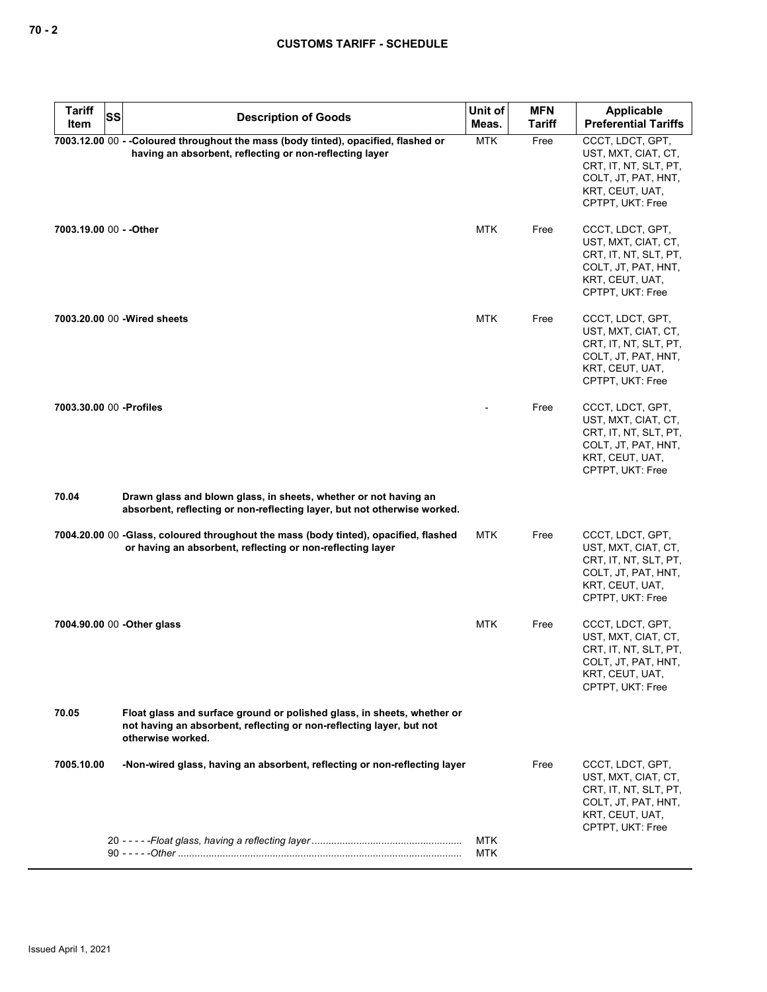| <b>Tariff</b><br><b>SS</b><br>Item | <b>Description of Goods</b>                                                                                                                                          | Unit of<br>Meas.  | <b>MFN</b><br>Tariff | Applicable<br><b>Preferential Tariffs</b>                                                                                      |
|------------------------------------|----------------------------------------------------------------------------------------------------------------------------------------------------------------------|-------------------|----------------------|--------------------------------------------------------------------------------------------------------------------------------|
|                                    | 7003.12.00 00 - -Coloured throughout the mass (body tinted), opacified, flashed or<br>having an absorbent, reflecting or non-reflecting layer                        | <b>MTK</b>        | Free                 | CCCT, LDCT, GPT,<br>UST, MXT, CIAT, CT,<br>CRT, IT, NT, SLT, PT,<br>COLT, JT, PAT, HNT,<br>KRT, CEUT, UAT,<br>CPTPT, UKT: Free |
| 7003.19.00 00 - - Other            |                                                                                                                                                                      | MTK               | Free                 | CCCT, LDCT, GPT,<br>UST, MXT, CIAT, CT,<br>CRT. IT. NT. SLT. PT.<br>COLT, JT, PAT, HNT,<br>KRT, CEUT, UAT,<br>CPTPT, UKT: Free |
|                                    | 7003.20.00 00 - Wired sheets                                                                                                                                         | <b>MTK</b>        | Free                 | CCCT, LDCT, GPT,<br>UST, MXT, CIAT, CT,<br>CRT, IT, NT, SLT, PT,<br>COLT, JT, PAT, HNT,<br>KRT, CEUT, UAT,<br>CPTPT, UKT: Free |
| 7003.30.00 00 - Profiles           |                                                                                                                                                                      |                   | Free                 | CCCT, LDCT, GPT,<br>UST, MXT, CIAT, CT,<br>CRT, IT, NT, SLT, PT,<br>COLT, JT, PAT, HNT,<br>KRT, CEUT, UAT,<br>CPTPT, UKT: Free |
| 70.04                              | Drawn glass and blown glass, in sheets, whether or not having an<br>absorbent, reflecting or non-reflecting layer, but not otherwise worked.                         |                   |                      |                                                                                                                                |
|                                    | 7004.20.00 00 -Glass, coloured throughout the mass (body tinted), opacified, flashed<br>or having an absorbent, reflecting or non-reflecting layer                   | MTK               | Free                 | CCCT, LDCT, GPT,<br>UST, MXT, CIAT, CT,<br>CRT, IT, NT, SLT, PT,<br>COLT, JT, PAT, HNT,<br>KRT, CEUT, UAT,<br>CPTPT, UKT: Free |
|                                    | 7004.90.00 00 - Other glass                                                                                                                                          | MTK               | Free                 | CCCT, LDCT, GPT,<br>UST, MXT, CIAT, CT,<br>CRT, IT, NT, SLT, PT,<br>COLT, JT, PAT, HNT,<br>KRT, CEUT, UAT,<br>CPTPT, UKT: Free |
| 70.05                              | Float glass and surface ground or polished glass, in sheets, whether or<br>not having an absorbent, reflecting or non-reflecting layer, but not<br>otherwise worked. |                   |                      |                                                                                                                                |
| 7005.10.00                         | -Non-wired glass, having an absorbent, reflecting or non-reflecting layer                                                                                            |                   | Free                 | CCCT, LDCT, GPT,<br>UST, MXT, CIAT, CT,<br>CRT, IT, NT, SLT, PT,<br>COLT, JT, PAT, HNT,<br>KRT, CEUT, UAT,<br>CPTPT, UKT: Free |
|                                    |                                                                                                                                                                      | <b>MTK</b><br>MTK |                      |                                                                                                                                |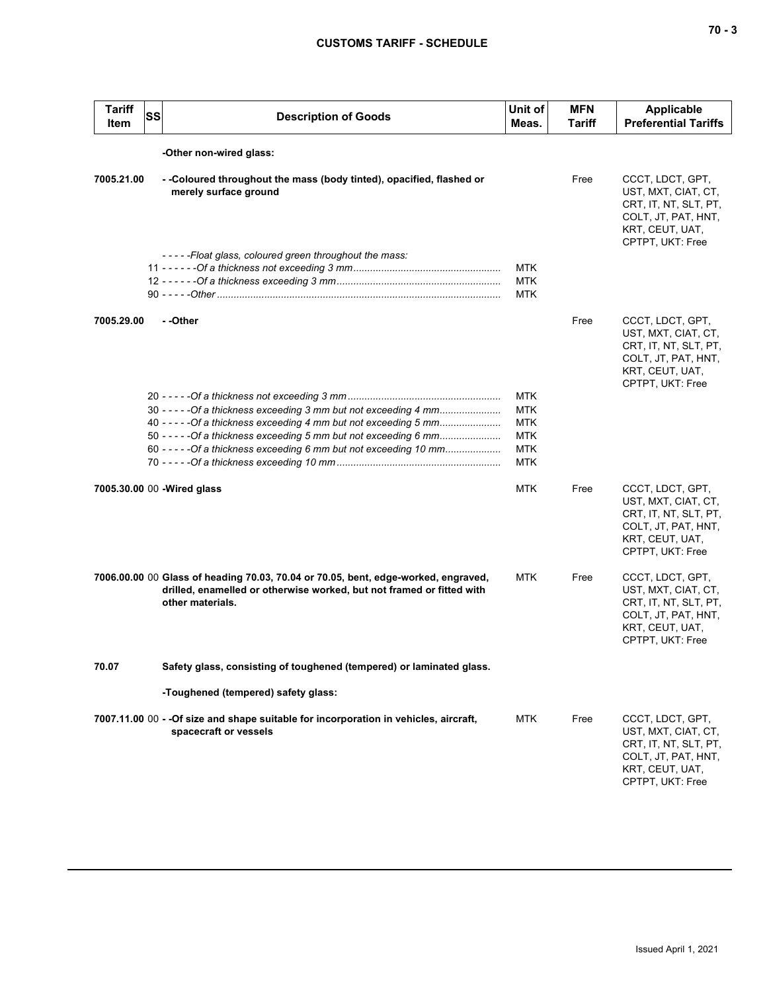| <b>Tariff</b><br>ltem | <b>SS</b> | <b>Description of Goods</b>                                                                                                                                                                                                                                                       | Unit of<br>Meas.                                                                 | <b>MFN</b><br>Tariff | <b>Applicable</b><br><b>Preferential Tariffs</b>                                                                               |
|-----------------------|-----------|-----------------------------------------------------------------------------------------------------------------------------------------------------------------------------------------------------------------------------------------------------------------------------------|----------------------------------------------------------------------------------|----------------------|--------------------------------------------------------------------------------------------------------------------------------|
|                       |           | -Other non-wired glass:                                                                                                                                                                                                                                                           |                                                                                  |                      |                                                                                                                                |
| 7005.21.00            |           | - -Coloured throughout the mass (body tinted), opacified, flashed or<br>merely surface ground                                                                                                                                                                                     |                                                                                  | Free                 | CCCT, LDCT, GPT,<br>UST, MXT, CIAT, CT,<br>CRT, IT, NT, SLT, PT,<br>COLT, JT, PAT, HNT,<br>KRT, CEUT, UAT,<br>CPTPT, UKT: Free |
|                       |           | -----Float glass, coloured green throughout the mass:                                                                                                                                                                                                                             | <b>MTK</b><br><b>MTK</b><br><b>MTK</b>                                           |                      |                                                                                                                                |
| 7005.29.00            |           | - -Other                                                                                                                                                                                                                                                                          |                                                                                  | Free                 | CCCT, LDCT, GPT,<br>UST, MXT, CIAT, CT,<br>CRT, IT, NT, SLT, PT,<br>COLT, JT, PAT, HNT,<br>KRT, CEUT, UAT,<br>CPTPT, UKT: Free |
|                       |           | 30 - - - - - Of a thickness exceeding 3 mm but not exceeding 4 mm<br>40 - - - - - Of a thickness exceeding 4 mm but not exceeding 5 mm<br>50 - - - - - Of a thickness exceeding 5 mm but not exceeding 6 mm<br>60 - - - - - Of a thickness exceeding 6 mm but not exceeding 10 mm | <b>MTK</b><br><b>MTK</b><br><b>MTK</b><br><b>MTK</b><br><b>MTK</b><br><b>MTK</b> |                      |                                                                                                                                |
|                       |           | 7005.30.00 00 - Wired glass                                                                                                                                                                                                                                                       | <b>MTK</b>                                                                       | Free                 | CCCT, LDCT, GPT,<br>UST, MXT, CIAT, CT,<br>CRT, IT, NT, SLT, PT,<br>COLT, JT, PAT, HNT,<br>KRT, CEUT, UAT,<br>CPTPT, UKT: Free |
|                       |           | 7006.00.00 00 Glass of heading 70.03, 70.04 or 70.05, bent, edge-worked, engraved,<br>drilled, enamelled or otherwise worked, but not framed or fitted with<br>other materials.                                                                                                   | MTK                                                                              | Free                 | CCCT, LDCT, GPT,<br>UST, MXT, CIAT, CT,<br>CRT, IT, NT, SLT, PT,<br>COLT, JT, PAT, HNT,<br>KRT, CEUT, UAT,<br>CPTPT, UKT: Free |
| 70.07                 |           | Safety glass, consisting of toughened (tempered) or laminated glass.                                                                                                                                                                                                              |                                                                                  |                      |                                                                                                                                |
|                       |           | -Toughened (tempered) safety glass:                                                                                                                                                                                                                                               |                                                                                  |                      |                                                                                                                                |
|                       |           | 7007.11.00 00 - - Of size and shape suitable for incorporation in vehicles, aircraft,<br>spacecraft or vessels                                                                                                                                                                    | <b>MTK</b>                                                                       | Free                 | CCCT, LDCT, GPT,<br>UST, MXT, CIAT, CT,<br>CRT, IT, NT, SLT, PT,<br>COLT, JT, PAT, HNT,<br>KRT, CEUT, UAT,<br>CPTPT, UKT: Free |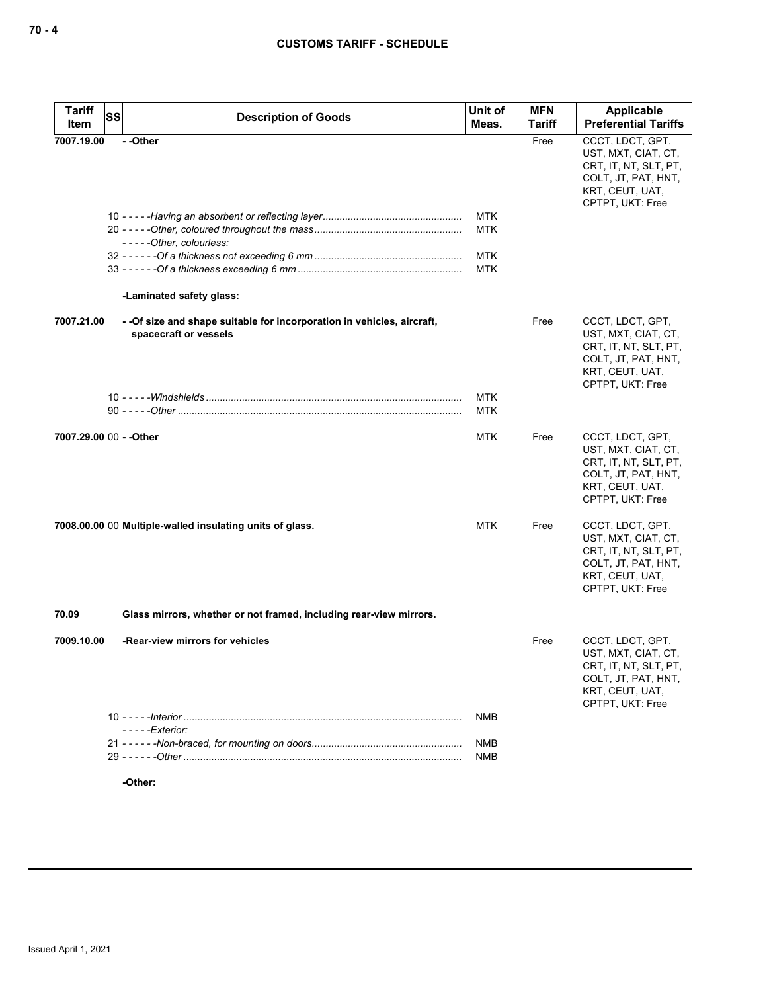| <b>Tariff</b><br>Item   | SS | <b>Description of Goods</b>                                                                      | Unit of<br>Meas.         | <b>MFN</b><br>Tariff | Applicable<br><b>Preferential Tariffs</b>                                                                                      |
|-------------------------|----|--------------------------------------------------------------------------------------------------|--------------------------|----------------------|--------------------------------------------------------------------------------------------------------------------------------|
| 7007.19.00              |    | --Other                                                                                          |                          | Free                 | CCCT, LDCT, GPT,<br>UST, MXT, CIAT, CT,<br>CRT, IT, NT, SLT, PT,<br>COLT, JT, PAT, HNT,<br>KRT, CEUT, UAT,<br>CPTPT, UKT: Free |
|                         |    |                                                                                                  | <b>MTK</b>               |                      |                                                                                                                                |
|                         |    | -----Other, colourless:                                                                          | <b>MTK</b>               |                      |                                                                                                                                |
|                         |    |                                                                                                  | <b>MTK</b>               |                      |                                                                                                                                |
|                         |    |                                                                                                  | <b>MTK</b>               |                      |                                                                                                                                |
|                         |    | -Laminated safety glass:                                                                         |                          |                      |                                                                                                                                |
| 7007.21.00              |    | - - Of size and shape suitable for incorporation in vehicles, aircraft,<br>spacecraft or vessels |                          | Free                 | CCCT, LDCT, GPT,<br>UST, MXT, CIAT, CT,<br>CRT, IT, NT, SLT, PT,<br>COLT, JT, PAT, HNT,<br>KRT, CEUT, UAT,<br>CPTPT, UKT: Free |
|                         |    |                                                                                                  | <b>MTK</b>               |                      |                                                                                                                                |
|                         |    |                                                                                                  | MTK                      |                      |                                                                                                                                |
| 7007.29.00 00 - - Other |    |                                                                                                  | <b>MTK</b>               | Free                 | CCCT, LDCT, GPT,<br>UST, MXT, CIAT, CT,<br>CRT, IT, NT, SLT, PT,<br>COLT, JT, PAT, HNT,<br>KRT, CEUT, UAT,<br>CPTPT, UKT: Free |
|                         |    | 7008.00.00 00 Multiple-walled insulating units of glass.                                         | MTK                      | Free                 | CCCT, LDCT, GPT,<br>UST, MXT, CIAT, CT,<br>CRT, IT, NT, SLT, PT,<br>COLT, JT, PAT, HNT,<br>KRT, CEUT, UAT,<br>CPTPT, UKT: Free |
| 70.09                   |    | Glass mirrors, whether or not framed, including rear-view mirrors.                               |                          |                      |                                                                                                                                |
| 7009.10.00              |    | -Rear-view mirrors for vehicles                                                                  |                          | Free                 | CCCT, LDCT, GPT,<br>UST, MXT, CIAT, CT,<br>CRT, IT, NT, SLT, PT,<br>COLT, JT, PAT, HNT,<br>KRT, CEUT, UAT,<br>CPTPT, UKT: Free |
|                         |    |                                                                                                  | <b>NMB</b>               |                      |                                                                                                                                |
|                         |    | - - - - - Exterior:                                                                              |                          |                      |                                                                                                                                |
|                         |    |                                                                                                  | <b>NMB</b><br><b>NMB</b> |                      |                                                                                                                                |
|                         |    |                                                                                                  |                          |                      |                                                                                                                                |

**-Other:**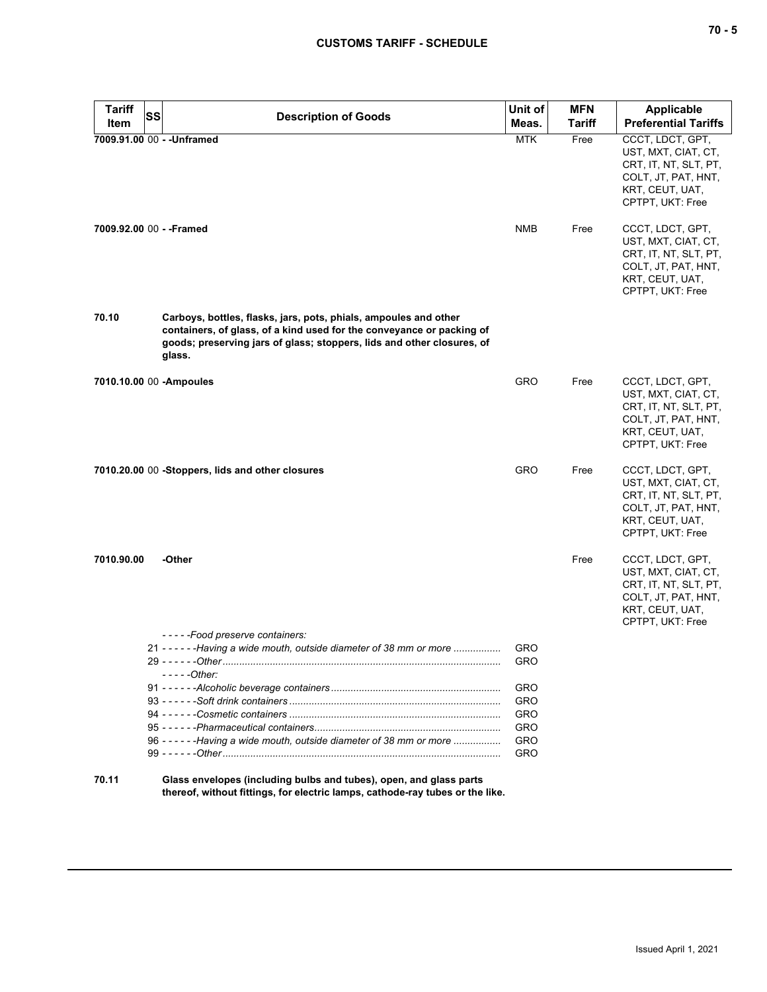| <b>Tariff</b> | SS                                                                                                                                                                                                                            | Unit of    | <b>MFN</b>    | <b>Applicable</b>                                                                                                              |
|---------------|-------------------------------------------------------------------------------------------------------------------------------------------------------------------------------------------------------------------------------|------------|---------------|--------------------------------------------------------------------------------------------------------------------------------|
| Item          | <b>Description of Goods</b>                                                                                                                                                                                                   | Meas.      | <b>Tariff</b> | <b>Preferential Tariffs</b>                                                                                                    |
|               | 7009.91.00 00 - - Unframed                                                                                                                                                                                                    | <b>MTK</b> | Free          | CCCT, LDCT, GPT,<br>UST, MXT, CIAT, CT,<br>CRT, IT, NT, SLT, PT,<br>COLT, JT, PAT, HNT,<br>KRT, CEUT, UAT,<br>CPTPT, UKT: Free |
|               | 7009.92.00 00 - - Framed                                                                                                                                                                                                      | <b>NMB</b> | Free          | CCCT, LDCT, GPT,<br>UST, MXT, CIAT, CT,<br>CRT, IT, NT, SLT, PT,<br>COLT, JT, PAT, HNT,<br>KRT, CEUT, UAT,<br>CPTPT, UKT: Free |
| 70.10         | Carboys, bottles, flasks, jars, pots, phials, ampoules and other<br>containers, of glass, of a kind used for the conveyance or packing of<br>goods; preserving jars of glass; stoppers, lids and other closures, of<br>glass. |            |               |                                                                                                                                |
|               | 7010.10.00 00 - Ampoules                                                                                                                                                                                                      | <b>GRO</b> | Free          | CCCT, LDCT, GPT,<br>UST, MXT, CIAT, CT,<br>CRT, IT, NT, SLT, PT,<br>COLT, JT, PAT, HNT,<br>KRT, CEUT, UAT,<br>CPTPT, UKT: Free |
|               | 7010.20.00 00 -Stoppers, lids and other closures                                                                                                                                                                              | GRO        | Free          | CCCT, LDCT, GPT,<br>UST, MXT, CIAT, CT,<br>CRT, IT, NT, SLT, PT,<br>COLT, JT, PAT, HNT,<br>KRT, CEUT, UAT,<br>CPTPT, UKT: Free |
| 7010.90.00    | -Other                                                                                                                                                                                                                        |            | Free          | CCCT, LDCT, GPT,<br>UST, MXT, CIAT, CT,<br>CRT, IT, NT, SLT, PT,<br>COLT, JT, PAT, HNT,<br>KRT, CEUT, UAT,<br>CPTPT, UKT: Free |
|               | -----Food preserve containers:<br>21 - - - - - - - Having a wide mouth, outside diameter of 38 mm or more                                                                                                                     | GRO        |               |                                                                                                                                |
|               | $29 - - - - - Other$ .<br>- - - - -Other:                                                                                                                                                                                     | <b>GRO</b> |               |                                                                                                                                |
|               |                                                                                                                                                                                                                               | GRO        |               |                                                                                                                                |
|               |                                                                                                                                                                                                                               | GRO        |               |                                                                                                                                |
|               |                                                                                                                                                                                                                               | GRO<br>GRO |               |                                                                                                                                |
|               | 96 - - - - - - Having a wide mouth, outside diameter of 38 mm or more                                                                                                                                                         | GRO        |               |                                                                                                                                |
|               |                                                                                                                                                                                                                               | <b>GRO</b> |               |                                                                                                                                |
| 70.11         | Glass envelopes (including bulbs and tubes), open, and glass parts<br>thereof, without fittings, for electric lamps, cathode-ray tubes or the like.                                                                           |            |               |                                                                                                                                |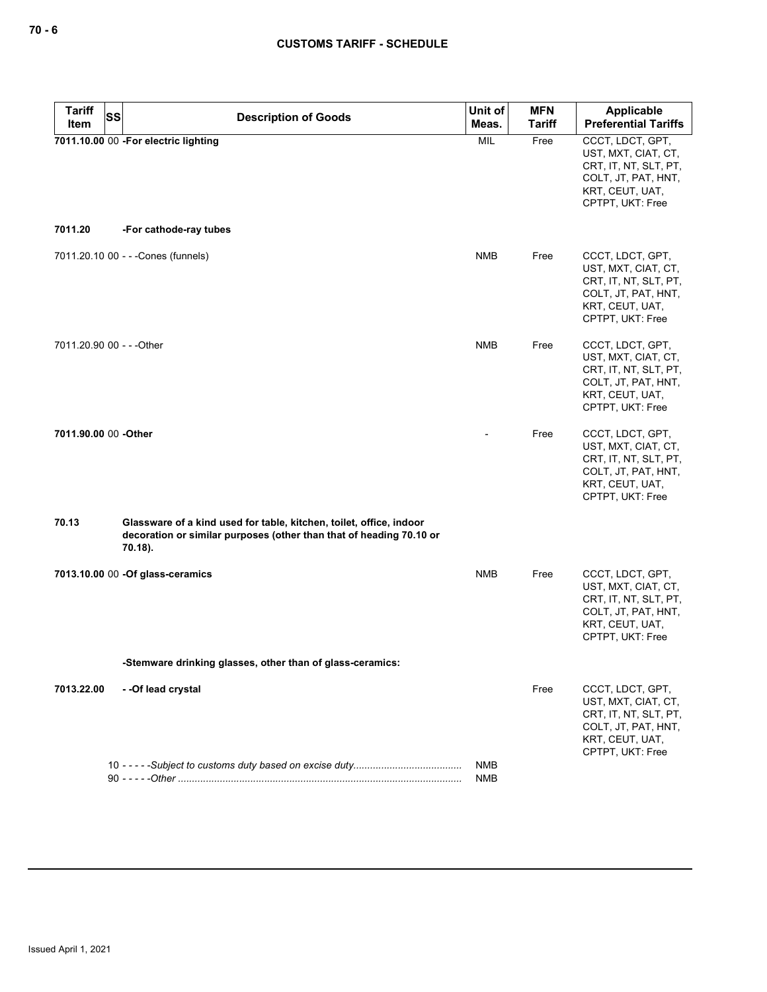| <b>Tariff</b><br><b>SS</b><br><b>Item</b> | <b>Description of Goods</b>                                                                                                                           | Unit of<br>Meas.  | <b>MFN</b><br>Tariff | Applicable<br><b>Preferential Tariffs</b>                                                                                      |
|-------------------------------------------|-------------------------------------------------------------------------------------------------------------------------------------------------------|-------------------|----------------------|--------------------------------------------------------------------------------------------------------------------------------|
|                                           | 7011.10.00 00 -For electric lighting                                                                                                                  | <b>MIL</b>        | Free                 | CCCT, LDCT, GPT,<br>UST, MXT, CIAT, CT,<br>CRT, IT, NT, SLT, PT,<br>COLT, JT, PAT, HNT,<br>KRT, CEUT, UAT,<br>CPTPT, UKT: Free |
| 7011.20                                   | -For cathode-ray tubes                                                                                                                                |                   |                      |                                                                                                                                |
|                                           | 7011.20.10 00 - - - Cones (funnels)                                                                                                                   | <b>NMB</b>        | Free                 | CCCT, LDCT, GPT,<br>UST, MXT, CIAT, CT,<br>CRT, IT, NT, SLT, PT,<br>COLT, JT, PAT, HNT,<br>KRT, CEUT, UAT,<br>CPTPT, UKT: Free |
| 7011.20.90 00 - - - Other                 |                                                                                                                                                       | <b>NMB</b>        | Free                 | CCCT, LDCT, GPT,<br>UST, MXT, CIAT, CT,<br>CRT, IT, NT, SLT, PT,<br>COLT, JT, PAT, HNT,<br>KRT, CEUT, UAT,<br>CPTPT, UKT: Free |
| 7011.90.00 00 -Other                      |                                                                                                                                                       |                   | Free                 | CCCT, LDCT, GPT,<br>UST, MXT, CIAT, CT,<br>CRT, IT, NT, SLT, PT,<br>COLT, JT, PAT, HNT,<br>KRT, CEUT, UAT,<br>CPTPT, UKT: Free |
| 70.13                                     | Glassware of a kind used for table, kitchen, toilet, office, indoor<br>decoration or similar purposes (other than that of heading 70.10 or<br>70.18). |                   |                      |                                                                                                                                |
|                                           | 7013.10.00 00 - Of glass-ceramics                                                                                                                     | <b>NMB</b>        | Free                 | CCCT, LDCT, GPT,<br>UST, MXT, CIAT, CT,<br>CRT, IT, NT, SLT, PT,<br>COLT, JT, PAT, HNT,<br>KRT, CEUT, UAT,<br>CPTPT, UKT: Free |
|                                           | -Stemware drinking glasses, other than of glass-ceramics:                                                                                             |                   |                      |                                                                                                                                |
| 7013.22.00                                | -- Of lead crystal                                                                                                                                    |                   | Free                 | CCCT, LDCT, GPT,<br>UST, MXT, CIAT, CT,<br>CRT, IT, NT, SLT, PT,<br>COLT, JT, PAT, HNT,<br>KRT, CEUT, UAT,<br>CPTPT, UKT: Free |
|                                           |                                                                                                                                                       | NMB<br><b>NMB</b> |                      |                                                                                                                                |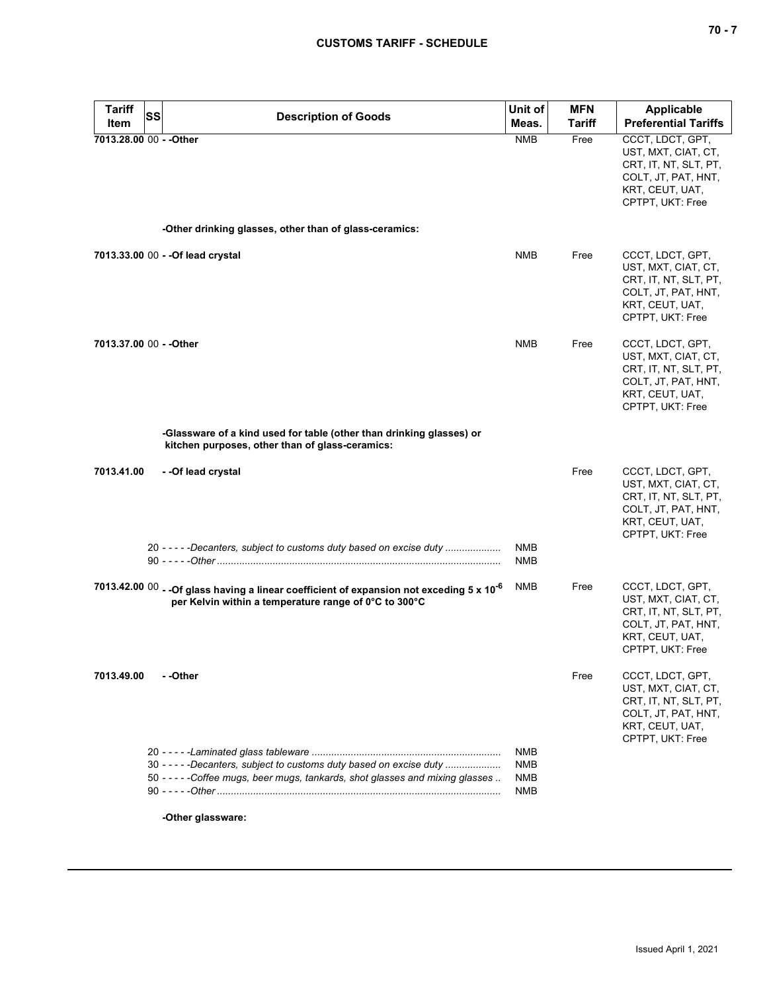| ×<br>۰. |  |  |
|---------|--|--|
|---------|--|--|

| <b>Tariff</b><br><b>SS</b> | <b>Description of Goods</b>                                                                                                                                    | Unit of                         | <b>MFN</b>    | <b>Applicable</b>                                                                                                              |
|----------------------------|----------------------------------------------------------------------------------------------------------------------------------------------------------------|---------------------------------|---------------|--------------------------------------------------------------------------------------------------------------------------------|
| Item                       |                                                                                                                                                                | Meas.                           | <b>Tariff</b> | <b>Preferential Tariffs</b>                                                                                                    |
| 7013.28.00 00 - - Other    | -Other drinking glasses, other than of glass-ceramics:                                                                                                         | <b>NMB</b>                      | Free          | CCCT, LDCT, GPT,<br>UST, MXT, CIAT, CT,<br>CRT, IT, NT, SLT, PT,<br>COLT, JT, PAT, HNT,<br>KRT, CEUT, UAT,<br>CPTPT, UKT: Free |
|                            |                                                                                                                                                                |                                 |               |                                                                                                                                |
|                            | 7013.33.00 00 - - Of lead crystal                                                                                                                              | <b>NMB</b>                      | Free          | CCCT, LDCT, GPT,<br>UST, MXT, CIAT, CT,<br>CRT, IT, NT, SLT, PT,<br>COLT, JT, PAT, HNT,<br>KRT, CEUT, UAT,<br>CPTPT, UKT: Free |
| 7013.37.00 00 - - Other    |                                                                                                                                                                | <b>NMB</b>                      | Free          | CCCT, LDCT, GPT,<br>UST, MXT, CIAT, CT,<br>CRT, IT, NT, SLT, PT,<br>COLT, JT, PAT, HNT,<br>KRT, CEUT, UAT,<br>CPTPT, UKT: Free |
|                            | -Glassware of a kind used for table (other than drinking glasses) or<br>kitchen purposes, other than of glass-ceramics:                                        |                                 |               |                                                                                                                                |
| 7013.41.00                 | - -Of lead crystal                                                                                                                                             |                                 | Free          | CCCT, LDCT, GPT,<br>UST, MXT, CIAT, CT,<br>CRT, IT, NT, SLT, PT,<br>COLT, JT, PAT, HNT,<br>KRT, CEUT, UAT,<br>CPTPT, UKT: Free |
|                            | 20 - - - - - Decanters, subject to customs duty based on excise duty                                                                                           | <b>NMB</b><br><b>NMB</b>        |               |                                                                                                                                |
|                            | 7013.42.00 00 - - Of glass having a linear coefficient of expansion not exceding 5 x 10 <sup>-6</sup><br>per Kelvin within a temperature range of 0°C to 300°C | <b>NMB</b>                      | Free          | CCCT, LDCT, GPT,<br>UST, MXT, CIAT, CT,<br>CRT, IT, NT, SLT, PT,<br>COLT, JT, PAT, HNT,<br>KRT, CEUT, UAT,<br>CPTPT, UKT: Free |
| 7013.49.00                 | - -Other                                                                                                                                                       |                                 | Free          | CCCT, LDCT, GPT,<br>UST, MXT, CIAT, CT,<br>CRT, IT, NT, SLT, PT,<br>COLT, JT, PAT, HNT,<br>KRT, CEUT, UAT,<br>CPTPT, UKT: Free |
|                            | 30 - - - - - Decanters, subject to customs duty based on excise duty<br>50 -----Coffee mugs, beer mugs, tankards, shot glasses and mixing glasses              | NMB<br><b>NMB</b><br>NMB<br>NMB |               |                                                                                                                                |
|                            | -Other glassware:                                                                                                                                              |                                 |               |                                                                                                                                |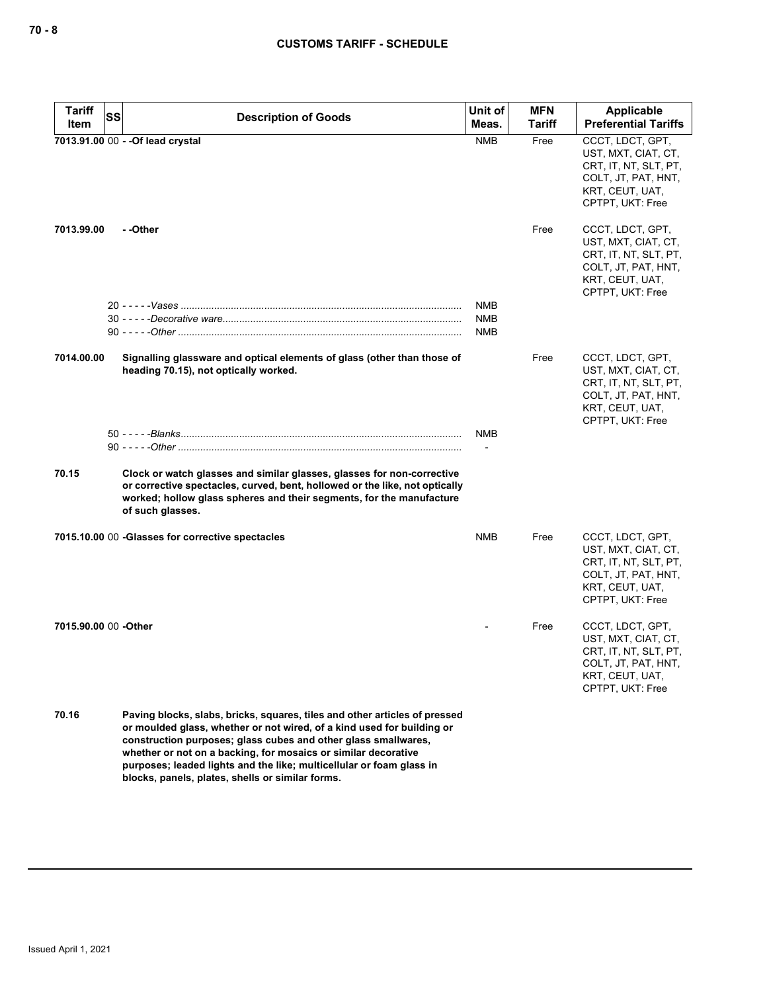| <b>Tariff</b><br>Item | SS | <b>Description of Goods</b>                                                                                                                                                                                                                                                                                                                                      | Unit of<br>Meas.  | <b>MFN</b><br><b>Tariff</b> | Applicable<br><b>Preferential Tariffs</b>                                                                                      |
|-----------------------|----|------------------------------------------------------------------------------------------------------------------------------------------------------------------------------------------------------------------------------------------------------------------------------------------------------------------------------------------------------------------|-------------------|-----------------------------|--------------------------------------------------------------------------------------------------------------------------------|
|                       |    | 7013.91.00 00 - - Of lead crystal                                                                                                                                                                                                                                                                                                                                | <b>NMB</b>        | Free                        | CCCT, LDCT, GPT,<br>UST, MXT, CIAT, CT,<br>CRT, IT, NT, SLT, PT,<br>COLT, JT, PAT, HNT,<br>KRT, CEUT, UAT,<br>CPTPT, UKT: Free |
| 7013.99.00            |    | - -Other                                                                                                                                                                                                                                                                                                                                                         |                   | Free                        | CCCT, LDCT, GPT,<br>UST, MXT, CIAT, CT,<br>CRT, IT, NT, SLT, PT,<br>COLT, JT, PAT, HNT,<br>KRT, CEUT, UAT,<br>CPTPT, UKT: Free |
|                       |    |                                                                                                                                                                                                                                                                                                                                                                  | NMB<br>NMB<br>NMB |                             |                                                                                                                                |
| 7014.00.00            |    | Signalling glassware and optical elements of glass (other than those of<br>heading 70.15), not optically worked.                                                                                                                                                                                                                                                 |                   | Free                        | CCCT, LDCT, GPT,<br>UST, MXT, CIAT, CT,<br>CRT, IT, NT, SLT, PT,<br>COLT, JT, PAT, HNT,<br>KRT, CEUT, UAT,<br>CPTPT, UKT: Free |
|                       |    |                                                                                                                                                                                                                                                                                                                                                                  | NMB               |                             |                                                                                                                                |
|                       |    |                                                                                                                                                                                                                                                                                                                                                                  |                   |                             |                                                                                                                                |
| 70.15                 |    | Clock or watch glasses and similar glasses, glasses for non-corrective<br>or corrective spectacles, curved, bent, hollowed or the like, not optically<br>worked; hollow glass spheres and their segments, for the manufacture<br>of such glasses.                                                                                                                |                   |                             |                                                                                                                                |
|                       |    | 7015.10.00 00 -Glasses for corrective spectacles                                                                                                                                                                                                                                                                                                                 | NMB               | Free                        | CCCT, LDCT, GPT,<br>UST, MXT, CIAT, CT,<br>CRT, IT, NT, SLT, PT,<br>COLT, JT, PAT, HNT,<br>KRT, CEUT, UAT,<br>CPTPT, UKT: Free |
| 7015.90.00 00 - Other |    |                                                                                                                                                                                                                                                                                                                                                                  |                   | Free                        | CCCT, LDCT, GPT,<br>UST, MXT, CIAT, CT,<br>CRT, IT, NT, SLT, PT,<br>COLT, JT, PAT, HNT,<br>KRT, CEUT, UAT,<br>CPTPT, UKT: Free |
| 70.16                 |    | Paving blocks, slabs, bricks, squares, tiles and other articles of pressed<br>or moulded glass, whether or not wired, of a kind used for building or<br>construction purposes; glass cubes and other glass smallwares,<br>whether or not on a backing, for mosaics or similar decorative<br>purposes; leaded lights and the like; multicellular or foam glass in |                   |                             |                                                                                                                                |

**blocks, panels, plates, shells or similar forms.**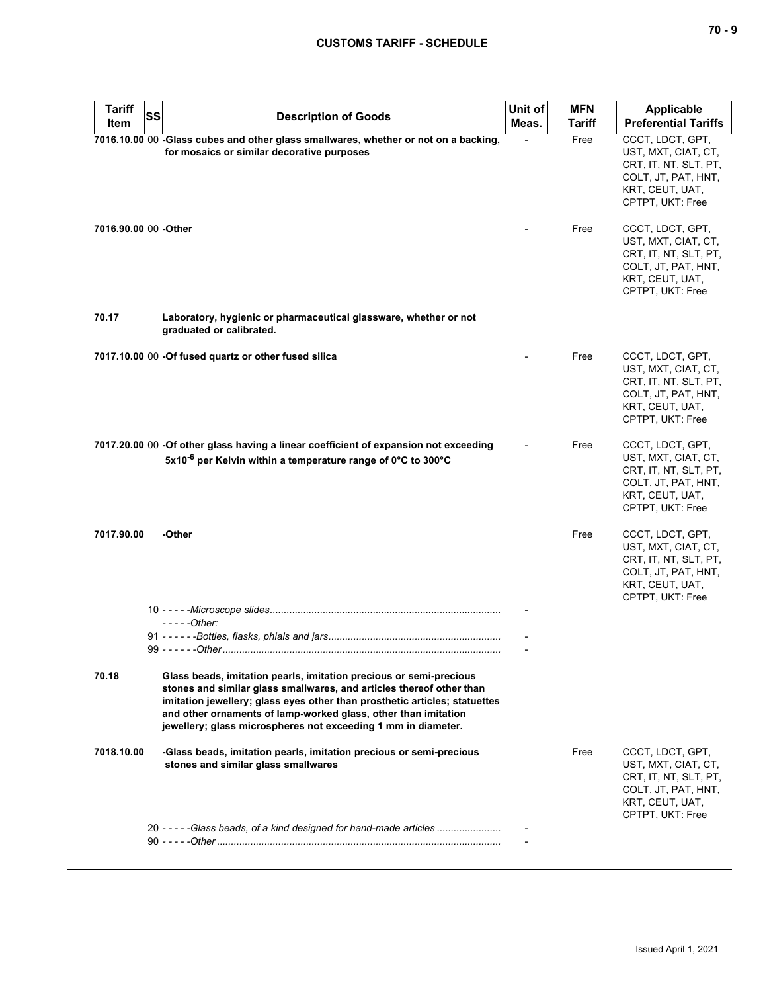# **CUSTOMS TARIFF - SCHEDULE**

| <b>SS</b><br><b>Description of Goods</b><br>Item                                                                                                                                                                                                                                                                                                                     | Meas. | <b>Tariff</b> | Applicable<br><b>Preferential Tariffs</b>                                                                                      |
|----------------------------------------------------------------------------------------------------------------------------------------------------------------------------------------------------------------------------------------------------------------------------------------------------------------------------------------------------------------------|-------|---------------|--------------------------------------------------------------------------------------------------------------------------------|
| 7016.10.00 00 -Glass cubes and other glass smallwares, whether or not on a backing,<br>for mosaics or similar decorative purposes                                                                                                                                                                                                                                    |       | Free          | CCCT, LDCT, GPT,<br>UST, MXT, CIAT, CT,<br>CRT, IT, NT, SLT, PT,<br>COLT, JT, PAT, HNT,<br>KRT, CEUT, UAT,<br>CPTPT, UKT: Free |
| 7016.90.00 00 -Other                                                                                                                                                                                                                                                                                                                                                 |       | Free          | CCCT, LDCT, GPT,<br>UST, MXT, CIAT, CT,<br>CRT, IT, NT, SLT, PT,<br>COLT, JT, PAT, HNT,<br>KRT, CEUT, UAT,<br>CPTPT, UKT: Free |
| 70.17<br>Laboratory, hygienic or pharmaceutical glassware, whether or not<br>graduated or calibrated.                                                                                                                                                                                                                                                                |       |               |                                                                                                                                |
| 7017.10.00 00 -Of fused quartz or other fused silica                                                                                                                                                                                                                                                                                                                 |       | Free          | CCCT, LDCT, GPT,<br>UST, MXT, CIAT, CT,<br>CRT, IT, NT, SLT, PT,<br>COLT, JT, PAT, HNT,<br>KRT, CEUT, UAT,<br>CPTPT, UKT: Free |
| 7017.20.00 00 -Of other glass having a linear coefficient of expansion not exceeding<br>5x10 <sup>-6</sup> per Kelvin within a temperature range of 0°C to 300°C                                                                                                                                                                                                     |       | Free          | CCCT, LDCT, GPT,<br>UST, MXT, CIAT, CT,<br>CRT, IT, NT, SLT, PT,<br>COLT, JT, PAT, HNT,<br>KRT, CEUT, UAT,<br>CPTPT, UKT: Free |
| -Other<br>7017.90.00                                                                                                                                                                                                                                                                                                                                                 |       | Free          | CCCT, LDCT, GPT,<br>UST, MXT, CIAT, CT,<br>CRT, IT, NT, SLT, PT,<br>COLT, JT, PAT, HNT,<br>KRT, CEUT, UAT,<br>CPTPT, UKT: Free |
| - - - - - Other:                                                                                                                                                                                                                                                                                                                                                     |       |               |                                                                                                                                |
|                                                                                                                                                                                                                                                                                                                                                                      |       |               |                                                                                                                                |
| 70.18<br>Glass beads, imitation pearls, imitation precious or semi-precious<br>stones and similar glass smallwares, and articles thereof other than<br>imitation jewellery; glass eyes other than prosthetic articles; statuettes<br>and other ornaments of lamp-worked glass, other than imitation<br>jewellery; glass microspheres not exceeding 1 mm in diameter. |       |               |                                                                                                                                |
| 7018.10.00<br>-Glass beads, imitation pearls, imitation precious or semi-precious<br>stones and similar glass smallwares                                                                                                                                                                                                                                             |       | Free          | CCCT, LDCT, GPT,<br>UST, MXT, CIAT, CT,<br>CRT, IT, NT, SLT, PT,<br>COLT, JT, PAT, HNT,<br>KRT, CEUT, UAT,<br>CPTPT, UKT: Free |
| 20 - - - - - Glass beads, of a kind designed for hand-made articles                                                                                                                                                                                                                                                                                                  |       |               |                                                                                                                                |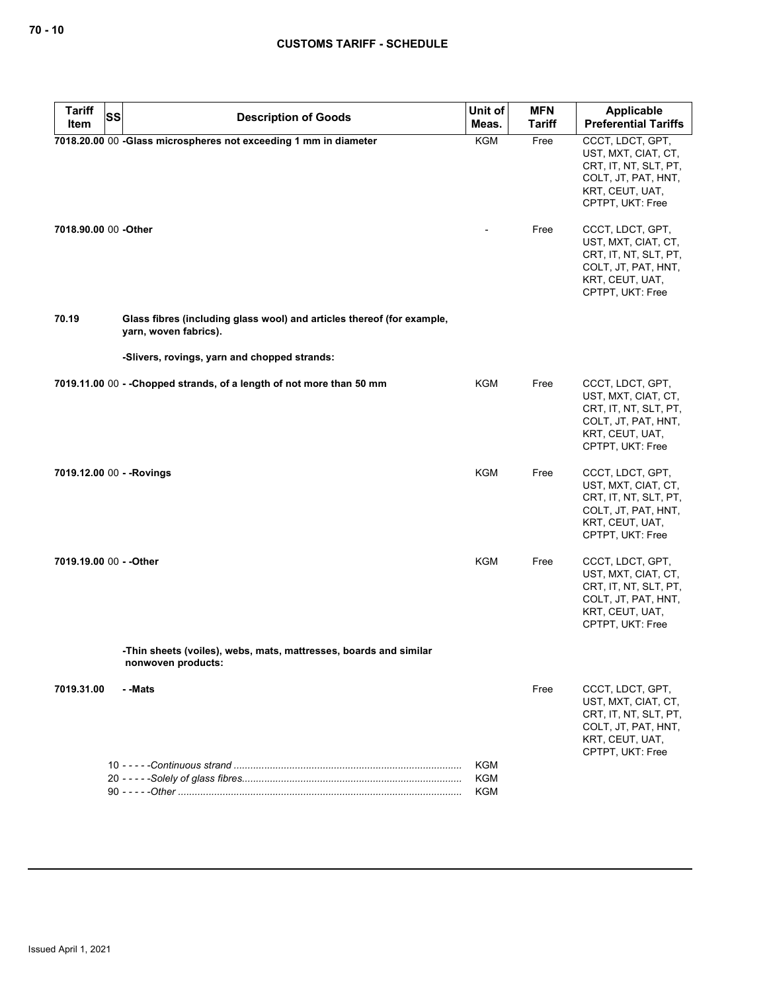| <b>Tariff</b>             | <b>SS</b> | <b>Description of Goods</b>                                                                     | Unit of           | <b>MFN</b>    | Applicable                                                                                                                     |
|---------------------------|-----------|-------------------------------------------------------------------------------------------------|-------------------|---------------|--------------------------------------------------------------------------------------------------------------------------------|
| Item                      |           |                                                                                                 | Meas.             | <b>Tariff</b> | <b>Preferential Tariffs</b>                                                                                                    |
|                           |           | 7018.20.00 00 -Glass microspheres not exceeding 1 mm in diameter                                | <b>KGM</b>        | Free          | CCCT, LDCT, GPT,<br>UST, MXT, CIAT, CT,<br>CRT, IT, NT, SLT, PT,<br>COLT, JT, PAT, HNT,<br>KRT, CEUT, UAT,<br>CPTPT, UKT: Free |
| 7018.90.00 00 -Other      |           |                                                                                                 |                   | Free          | CCCT, LDCT, GPT,<br>UST, MXT, CIAT, CT,<br>CRT, IT, NT, SLT, PT,<br>COLT, JT, PAT, HNT,<br>KRT, CEUT, UAT,<br>CPTPT, UKT: Free |
| 70.19                     |           | Glass fibres (including glass wool) and articles thereof (for example,<br>yarn, woven fabrics). |                   |               |                                                                                                                                |
|                           |           | -Slivers, rovings, yarn and chopped strands:                                                    |                   |               |                                                                                                                                |
|                           |           | 7019.11.00 00 - - Chopped strands, of a length of not more than 50 mm                           | KGM               | Free          | CCCT, LDCT, GPT,<br>UST, MXT, CIAT, CT,<br>CRT, IT, NT, SLT, PT,<br>COLT, JT, PAT, HNT,<br>KRT, CEUT, UAT,<br>CPTPT, UKT: Free |
| 7019.12.00 00 - - Rovings |           |                                                                                                 | KGM               | Free          | CCCT, LDCT, GPT,<br>UST, MXT, CIAT, CT,<br>CRT, IT, NT, SLT, PT,<br>COLT, JT, PAT, HNT,<br>KRT, CEUT, UAT,<br>CPTPT, UKT: Free |
| 7019.19.00 00 - - Other   |           |                                                                                                 | KGM               | Free          | CCCT, LDCT, GPT,<br>UST, MXT, CIAT, CT,<br>CRT, IT, NT, SLT, PT,<br>COLT, JT, PAT, HNT,<br>KRT, CEUT, UAT,<br>CPTPT, UKT: Free |
|                           |           | -Thin sheets (voiles), webs, mats, mattresses, boards and similar<br>nonwoven products:         |                   |               |                                                                                                                                |
| 7019.31.00                |           | - -Mats                                                                                         |                   | Free          | CCCT, LDCT, GPT,<br>UST, MXT, CIAT, CT,<br>CRT, IT, NT, SLT, PT,<br>COLT, JT, PAT, HNT,<br>KRT, CEUT, UAT,<br>CPTPT, UKT: Free |
|                           |           |                                                                                                 | KGM<br>KGM<br>KGM |               |                                                                                                                                |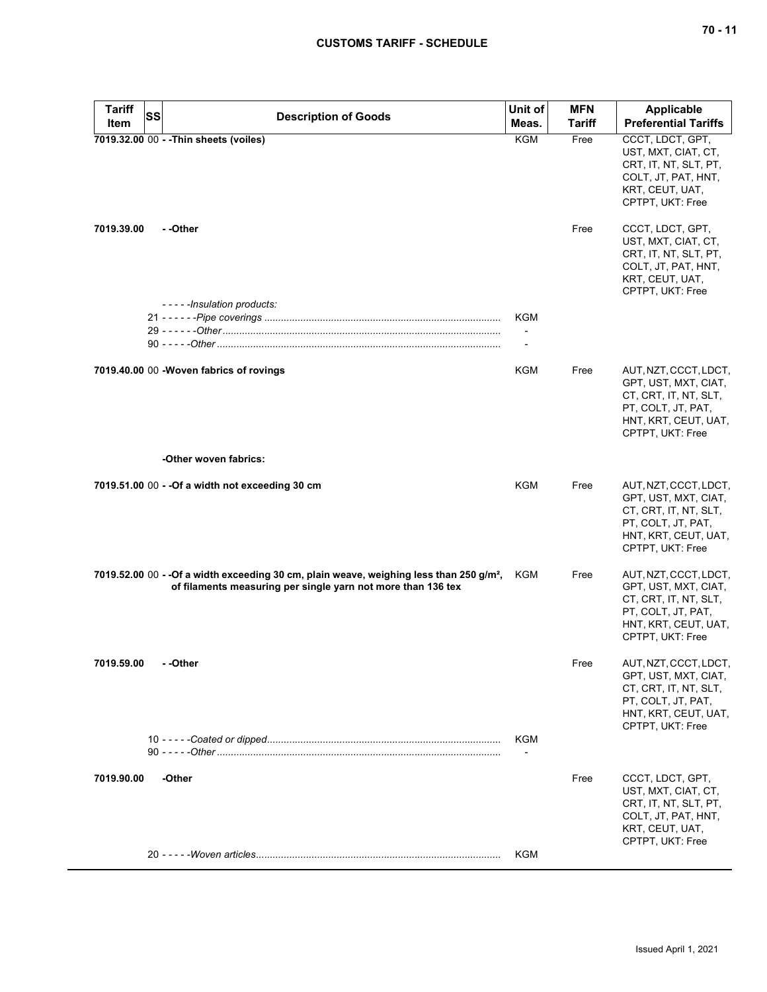## **CUSTOMS TARIFF - SCHEDULE**

| <b>Tariff</b><br>Item | <b>SS</b><br><b>Description of Goods</b>                                                                                                                             | Unit of<br>Meas. | <b>MFN</b><br><b>Tariff</b> | <b>Applicable</b><br><b>Preferential Tariffs</b>                                                                                         |
|-----------------------|----------------------------------------------------------------------------------------------------------------------------------------------------------------------|------------------|-----------------------------|------------------------------------------------------------------------------------------------------------------------------------------|
|                       | 7019.32.00 00 - - Thin sheets (voiles)                                                                                                                               | KGM              | Free                        | CCCT, LDCT, GPT,<br>UST, MXT, CIAT, CT,<br>CRT, IT, NT, SLT, PT,<br>COLT, JT, PAT, HNT,<br>KRT, CEUT, UAT,<br>CPTPT, UKT: Free           |
| 7019.39.00            | - -Other                                                                                                                                                             |                  | Free                        | CCCT, LDCT, GPT,<br>UST, MXT, CIAT, CT,<br>CRT, IT, NT, SLT, PT,<br>COLT, JT, PAT, HNT,<br>KRT, CEUT, UAT,<br>CPTPT, UKT: Free           |
|                       | -----Insulation products:                                                                                                                                            | KGM              |                             |                                                                                                                                          |
|                       |                                                                                                                                                                      |                  |                             |                                                                                                                                          |
|                       |                                                                                                                                                                      |                  |                             |                                                                                                                                          |
|                       | 7019.40.00 00 - Woven fabrics of rovings                                                                                                                             | KGM              | Free                        | AUT, NZT, CCCT, LDCT,<br>GPT, UST, MXT, CIAT,<br>CT, CRT, IT, NT, SLT,<br>PT, COLT, JT, PAT,<br>HNT, KRT, CEUT, UAT,<br>CPTPT, UKT: Free |
|                       | -Other woven fabrics:                                                                                                                                                |                  |                             |                                                                                                                                          |
|                       | 7019.51.00 00 - - Of a width not exceeding 30 cm                                                                                                                     | <b>KGM</b>       | Free                        | AUT, NZT, CCCT, LDCT,<br>GPT, UST, MXT, CIAT,<br>CT, CRT, IT, NT, SLT,<br>PT, COLT, JT, PAT,<br>HNT, KRT, CEUT, UAT,<br>CPTPT, UKT: Free |
|                       | 7019.52.00 00 - - Of a width exceeding 30 cm, plain weave, weighing less than 250 g/m <sup>2</sup> ,<br>of filaments measuring per single yarn not more than 136 tex | KGM              | Free                        | AUT, NZT, CCCT, LDCT,<br>GPT, UST, MXT, CIAT,<br>CT, CRT, IT, NT, SLT,<br>PT, COLT, JT, PAT,<br>HNT, KRT, CEUT, UAT,<br>CPTPT, UKT: Free |
| 7019.59.00            | - -Other                                                                                                                                                             |                  | Free                        | AUT, NZT, CCCT, LDCT,<br>GPT, UST, MXT, CIAT,<br>CT, CRT, IT, NT, SLT,<br>PT, COLT, JT, PAT,<br>HNT, KRT, CEUT, UAT,<br>CPTPT, UKT: Free |
|                       |                                                                                                                                                                      | KGM              |                             |                                                                                                                                          |
|                       |                                                                                                                                                                      |                  |                             |                                                                                                                                          |
| 7019.90.00            | -Other                                                                                                                                                               |                  | Free                        | CCCT, LDCT, GPT,<br>UST, MXT, CIAT, CT,<br>CRT, IT, NT, SLT, PT,<br>COLT, JT, PAT, HNT,<br>KRT, CEUT, UAT,<br>CPTPT, UKT: Free           |
|                       |                                                                                                                                                                      | KGM              |                             |                                                                                                                                          |
|                       |                                                                                                                                                                      |                  |                             |                                                                                                                                          |